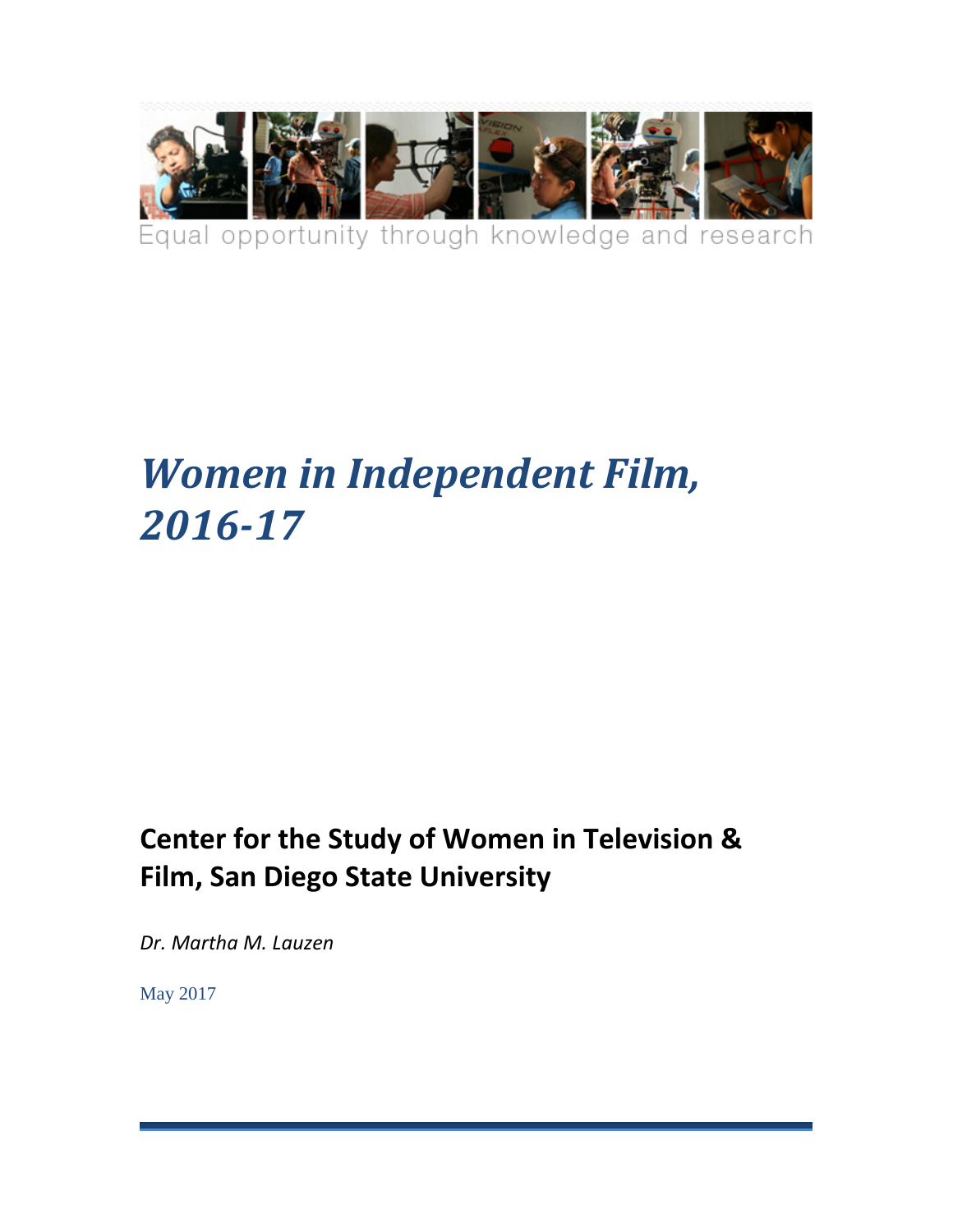

# *Women in Independent Film, 2016-17*

# **Center for the Study of Women in Television & Film, San Diego State University**

*Dr. Martha M. Lauzen*

May 2017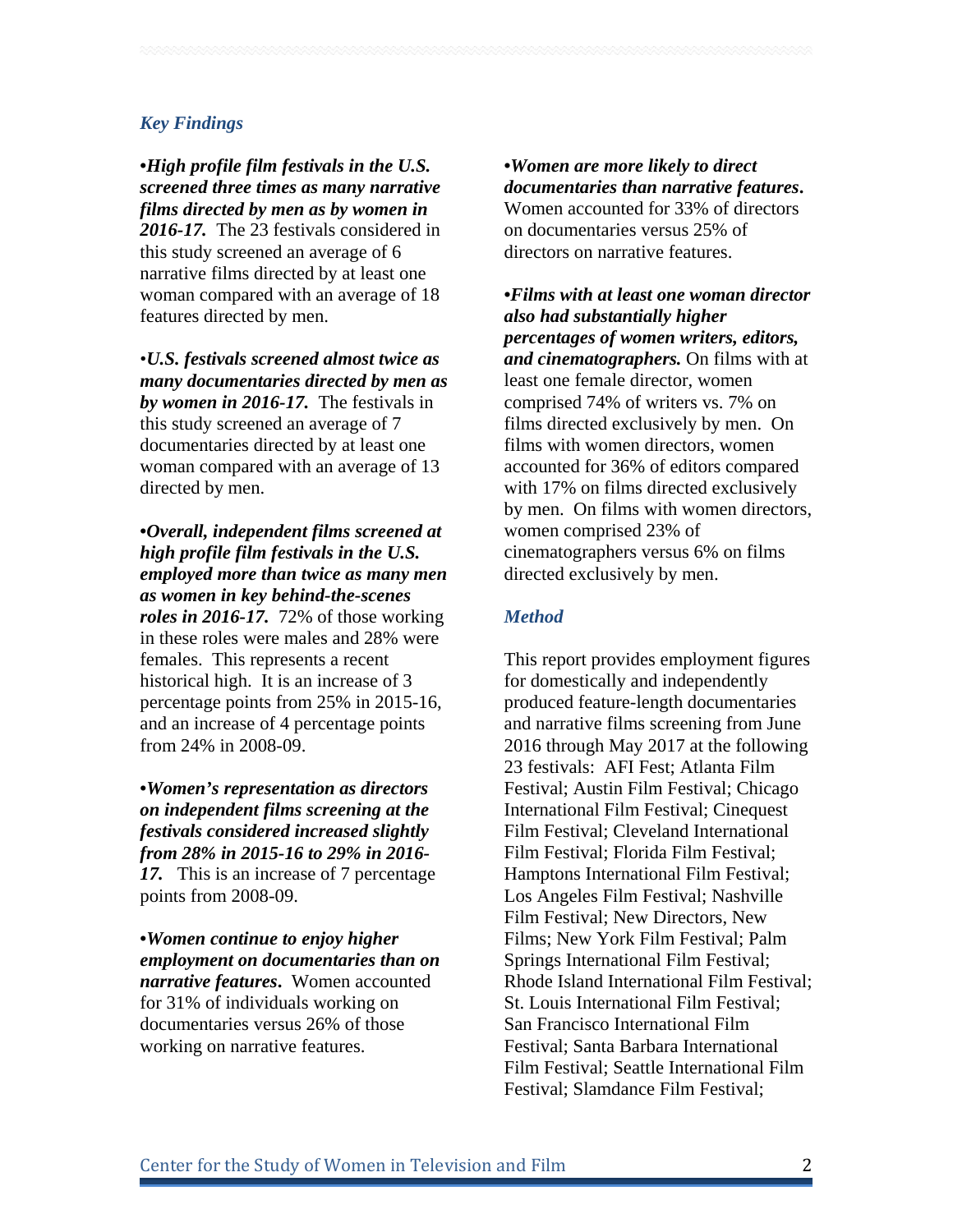#### *Key Findings*

**•***High profile film festivals in the U.S. screened three times as many narrative films directed by men as by women in 2016-17.* The 23 festivals considered in this study screened an average of 6 narrative films directed by at least one woman compared with an average of 18 features directed by men.

•*U.S. festivals screened almost twice as many documentaries directed by men as by women in 2016-17.* The festivals in this study screened an average of 7 documentaries directed by at least one woman compared with an average of 13 directed by men.

**•***Overall, independent films screened at high profile film festivals in the U.S. employed more than twice as many men as women in key behind-the-scenes roles in 2016-17.*72% of those working in these roles were males and 28% were females. This represents a recent historical high. It is an increase of 3 percentage points from 25% in 2015-16, and an increase of 4 percentage points from 24% in 2008-09.

**•***Women's representation as directors on independent films screening at the festivals considered increased slightly from 28% in 2015-16 to 29% in 2016- 17.* This is an increase of 7 percentage points from 2008-09.

**•***Women continue to enjoy higher employment on documentaries than on narrative features***.** Women accounted for 31% of individuals working on documentaries versus 26% of those working on narrative features.

**•***Women are more likely to direct documentaries than narrative features***.** Women accounted for 33% of directors on documentaries versus 25% of directors on narrative features.

**•***Films with at least one woman director also had substantially higher percentages of women writers, editors, and cinematographers.* On films with at least one female director, women comprised 74% of writers vs. 7% on films directed exclusively by men. On films with women directors, women accounted for 36% of editors compared with 17% on films directed exclusively by men. On films with women directors, women comprised 23% of cinematographers versus 6% on films directed exclusively by men.

#### *Method*

This report provides employment figures for domestically and independently produced feature-length documentaries and narrative films screening from June 2016 through May 2017 at the following 23 festivals: AFI Fest; Atlanta Film Festival; Austin Film Festival; Chicago International Film Festival; Cinequest Film Festival; Cleveland International Film Festival; Florida Film Festival; Hamptons International Film Festival; Los Angeles Film Festival; Nashville Film Festival; New Directors, New Films; New York Film Festival; Palm Springs International Film Festival; Rhode Island International Film Festival; St. Louis International Film Festival; San Francisco International Film Festival; Santa Barbara International Film Festival; Seattle International Film Festival; Slamdance Film Festival;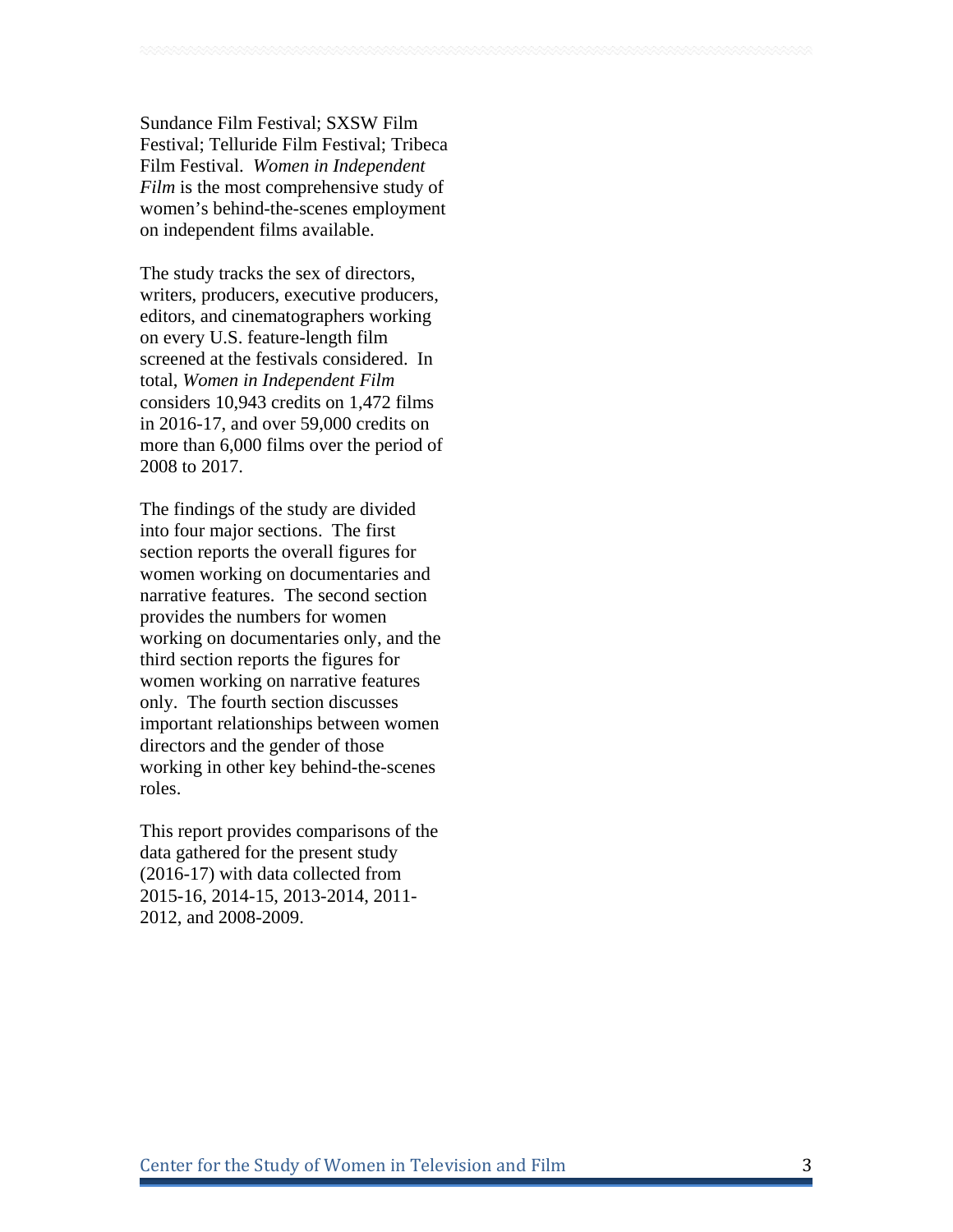Sundance Film Festival; SXSW Film Festival; Telluride Film Festival; Tribeca Film Festival. *Women in Independent Film* is the most comprehensive study of women's behind-the-scenes employment on independent films available.

The study tracks the sex of directors, writers, producers, executive producers, editors, and cinematographers working on every U.S. feature-length film screened at the festivals considered. In total, *Women in Independent Film* considers 10,943 credits on 1,472 films in 2016-17, and over 59,000 credits on more than 6,000 films over the period of 2008 to 2017.

The findings of the study are divided into four major sections. The first section reports the overall figures for women working on documentaries and narrative features. The second section provides the numbers for women working on documentaries only, and the third section reports the figures for women working on narrative features only. The fourth section discusses important relationships between women directors and the gender of those working in other key behind-the-scenes roles.

This report provides comparisons of the data gathered for the present study (2016-17) with data collected from 2015-16, 2014-15, 2013-2014, 2011- 2012, and 2008-2009.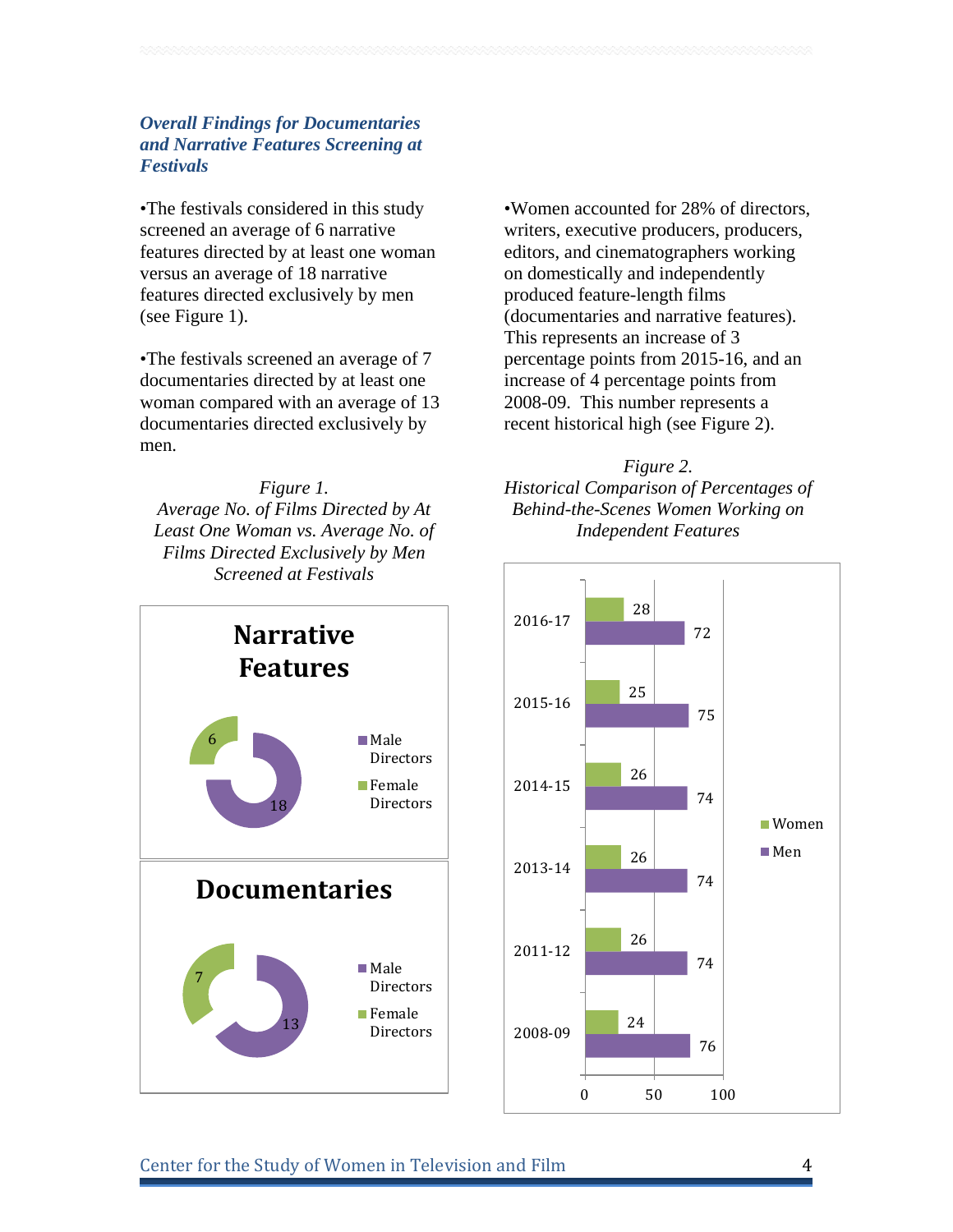### *Overall Findings for Documentaries and Narrative Features Screening at Festivals*

•The festivals considered in this study screened an average of 6 narrative features directed by at least one woman versus an average of 18 narrative features directed exclusively by men (see Figure 1).

•The festivals screened an average of 7 documentaries directed by at least one woman compared with an average of 13 documentaries directed exclusively by men.

*Figure 1. Average No. of Films Directed by At Least One Woman vs. Average No. of Films Directed Exclusively by Men Screened at Festivals*

•Women accounted for 28% of directors, writers, executive producers, producers, editors, and cinematographers working on domestically and independently produced feature-length films (documentaries and narrative features). This represents an increase of 3 percentage points from 2015-16, and an increase of 4 percentage points from 2008-09. This number represents a recent historical high (see Figure 2).





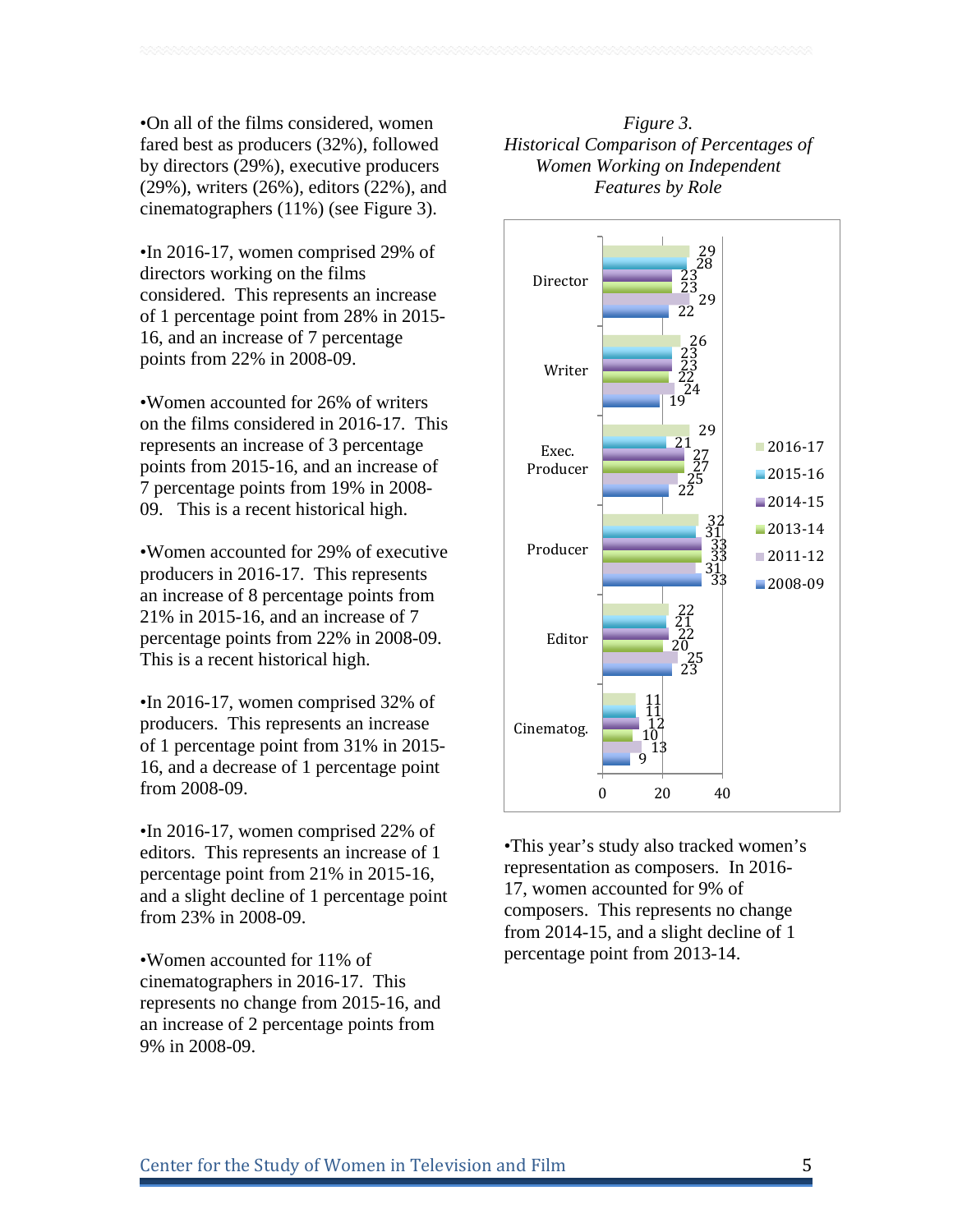•On all of the films considered, women fared best as producers (32%), followed by directors (29%), executive producers (29%), writers (26%), editors (22%), and cinematographers (11%) (see Figure 3).

•In 2016-17, women comprised 29% of directors working on the films considered. This represents an increase of 1 percentage point from 28% in 2015- 16, and an increase of 7 percentage points from 22% in 2008-09.

•Women accounted for 26% of writers on the films considered in 2016-17. This represents an increase of 3 percentage points from 2015-16, and an increase of 7 percentage points from 19% in 2008- 09. This is a recent historical high.

•Women accounted for 29% of executive producers in 2016-17. This represents an increase of 8 percentage points from 21% in 2015-16, and an increase of 7 percentage points from 22% in 2008-09. This is a recent historical high.

•In 2016-17, women comprised 32% of producers. This represents an increase of 1 percentage point from 31% in 2015- 16, and a decrease of 1 percentage point from 2008-09.

•In 2016-17, women comprised 22% of editors. This represents an increase of 1 percentage point from 21% in 2015-16, and a slight decline of 1 percentage point from 23% in 2008-09.

•Women accounted for 11% of cinematographers in 2016-17. This represents no change from 2015-16, and an increase of 2 percentage points from 9% in 2008-09.

# *Figure 3. Historical Comparison of Percentages of Women Working on Independent Features by Role*



•This year's study also tracked women's representation as composers. In 2016- 17, women accounted for 9% of composers. This represents no change from 2014-15, and a slight decline of 1 percentage point from 2013-14.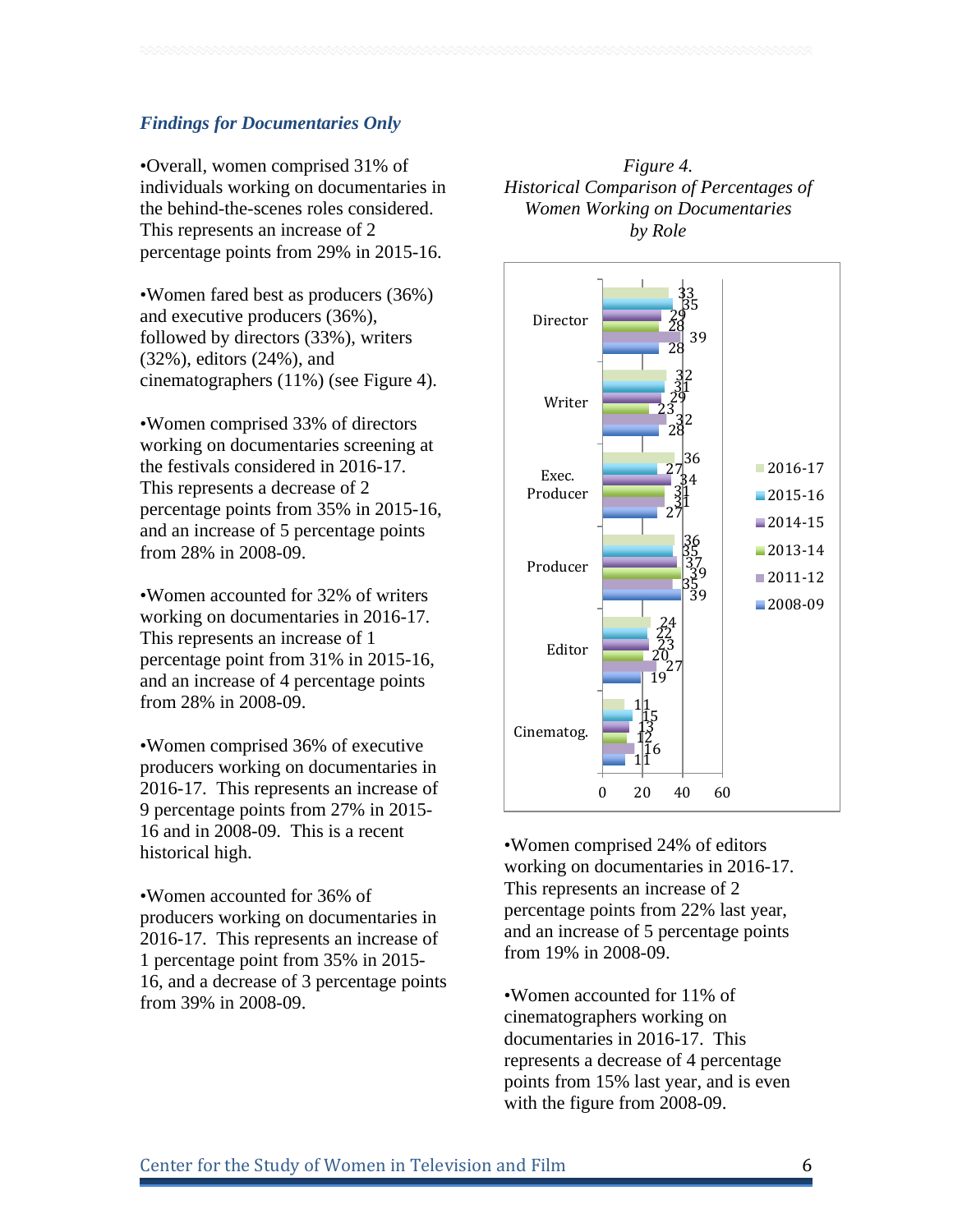#### *Findings for Documentaries Only*

•Overall, women comprised 31% of individuals working on documentaries in the behind-the-scenes roles considered. This represents an increase of 2 percentage points from 29% in 2015-16.

•Women fared best as producers (36%) and executive producers (36%), followed by directors (33%), writers (32%), editors (24%), and cinematographers (11%) (see Figure 4).

•Women comprised 33% of directors working on documentaries screening at the festivals considered in 2016-17. This represents a decrease of 2 percentage points from 35% in 2015-16, and an increase of 5 percentage points from 28% in 2008-09.

•Women accounted for 32% of writers working on documentaries in 2016-17. This represents an increase of 1 percentage point from 31% in 2015-16, and an increase of 4 percentage points from 28% in 2008-09.

•Women comprised 36% of executive producers working on documentaries in 2016-17. This represents an increase of 9 percentage points from 27% in 2015- 16 and in 2008-09. This is a recent historical high.

•Women accounted for 36% of producers working on documentaries in 2016-17. This represents an increase of 1 percentage point from 35% in 2015- 16, and a decrease of 3 percentage points from 39% in 2008-09.

*Figure 4. Historical Comparison of Percentages of Women Working on Documentaries by Role*



•Women comprised 24% of editors working on documentaries in 2016-17. This represents an increase of 2 percentage points from 22% last year, and an increase of 5 percentage points from 19% in 2008-09.

•Women accounted for 11% of cinematographers working on documentaries in 2016-17. This represents a decrease of 4 percentage points from 15% last year, and is even with the figure from 2008-09.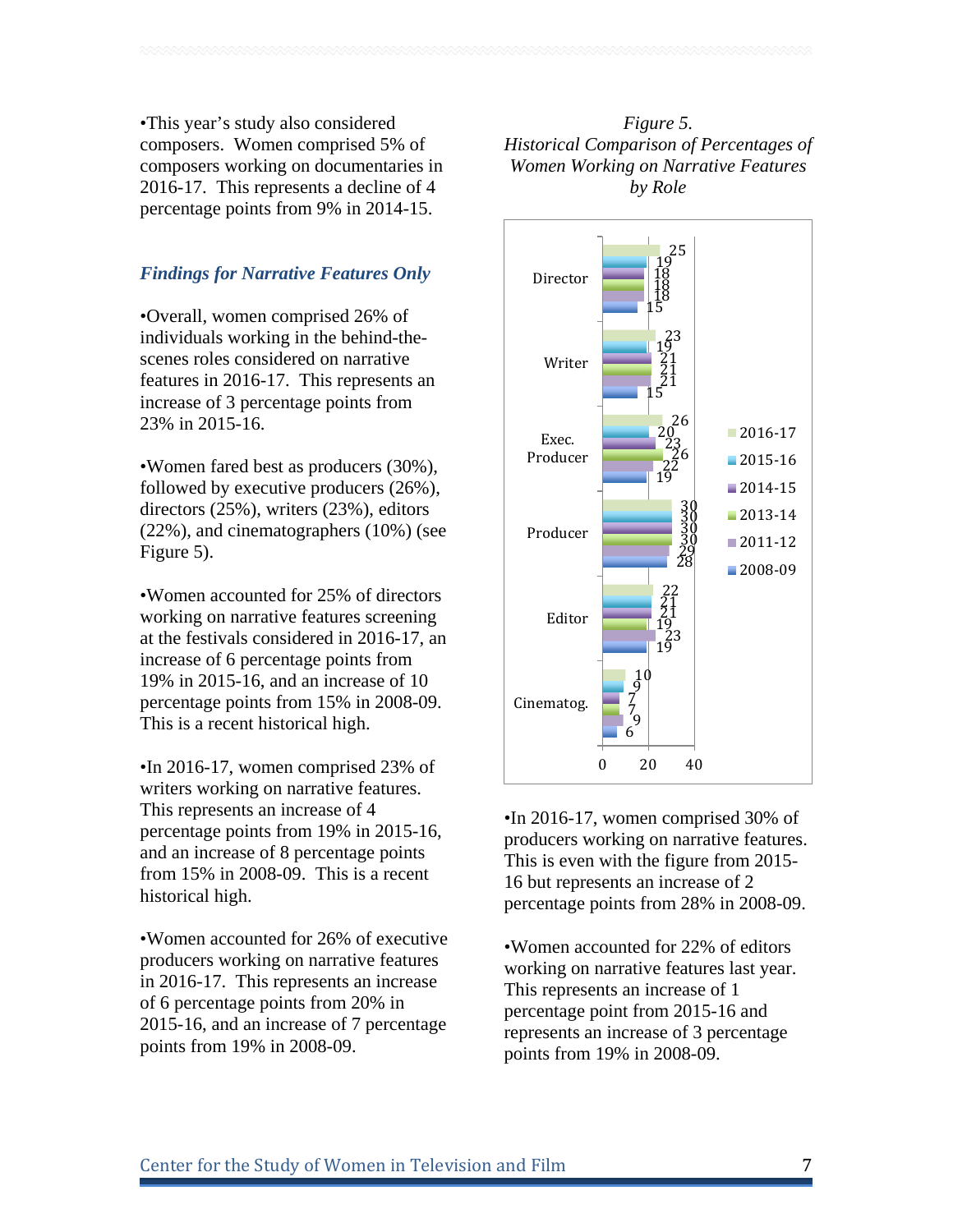•This year's study also considered composers. Women comprised 5% of composers working on documentaries in 2016-17. This represents a decline of 4 percentage points from 9% in 2014-15.

#### *Findings for Narrative Features Only*

•Overall, women comprised 26% of individuals working in the behind-thescenes roles considered on narrative features in 2016-17. This represents an increase of 3 percentage points from 23% in 2015-16.

•Women fared best as producers (30%), followed by executive producers (26%), directors (25%), writers (23%), editors (22%), and cinematographers (10%) (see Figure 5).

•Women accounted for 25% of directors working on narrative features screening at the festivals considered in 2016-17, an increase of 6 percentage points from 19% in 2015-16, and an increase of 10 percentage points from 15% in 2008-09. This is a recent historical high.

•In 2016-17, women comprised 23% of writers working on narrative features. This represents an increase of 4 percentage points from 19% in 2015-16, and an increase of 8 percentage points from 15% in 2008-09. This is a recent historical high.

•Women accounted for 26% of executive producers working on narrative features in 2016-17. This represents an increase of 6 percentage points from 20% in 2015-16, and an increase of 7 percentage points from 19% in 2008-09.

# *Figure 5. Historical Comparison of Percentages of Women Working on Narrative Features by Role*



•In 2016-17, women comprised 30% of producers working on narrative features. This is even with the figure from 2015- 16 but represents an increase of 2 percentage points from 28% in 2008-09.

•Women accounted for 22% of editors working on narrative features last year. This represents an increase of 1 percentage point from 2015-16 and represents an increase of 3 percentage points from 19% in 2008-09.